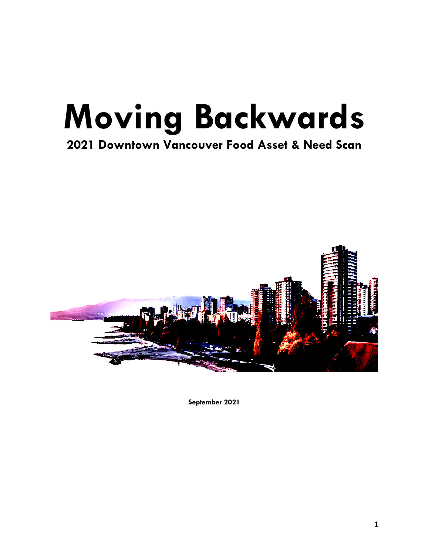# **Moving Backwards**

# **2021 Downtown Vancouver Food Asset & Need Scan**



**September 2021**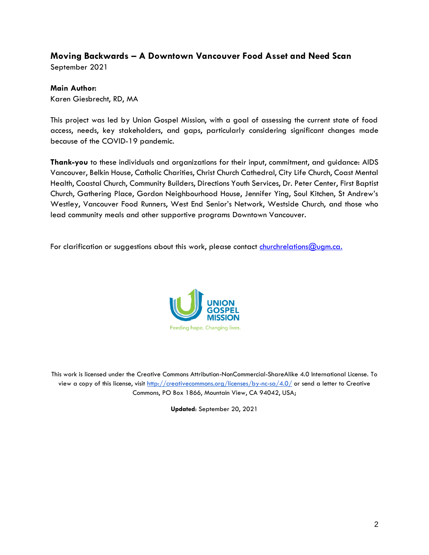#### **Moving Backwards – A Downtown Vancouver Food Asset and Need Scan**

September 2021

**Main Author:** Karen Giesbrecht, RD, MA

This project was led by Union Gospel Mission, with a goal of assessing the current state of food access, needs, key stakeholders, and gaps, particularly considering significant changes made because of the COVID-19 pandemic.

**Thank-you** to these individuals and organizations for their input, commitment, and guidance: AIDS Vancouver, Belkin House, Catholic Charities, Christ Church Cathedral, City Life Church, Coast Mental Health, Coastal Church, Community Builders, Directions Youth Services, Dr. Peter Center, First Baptist Church, Gathering Place, Gordon Neighbourhood House, Jennifer Ying, Soul Kitchen, St Andrew's Westley, Vancouver Food Runners, West End Senior's Network, Westside Church, and those who lead community meals and other supportive programs Downtown Vancouver.

For clarification or suggestions about this work, please contact [churchrelations@ugm.ca.](mailto:churchrelations@ugm.ca)



This work is licensed under the Creative Commons Attribution-NonCommercial-ShareAlike 4.0 International License. To view a copy of this license, visit<http://creativecommons.org/licenses/by-nc-sa/4.0/> or send a letter to Creative Commons, PO Box 1866, Mountain View, CA 94042, USA;

**Updated**: September 20, 2021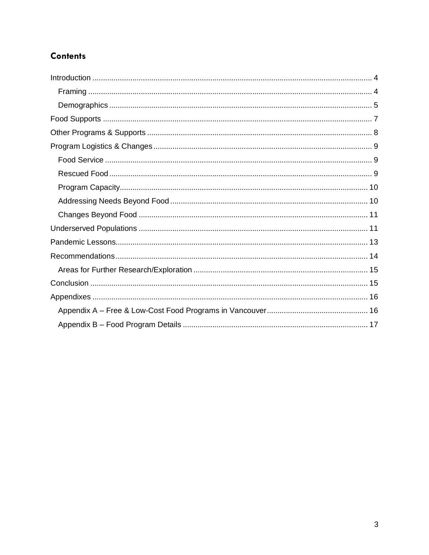#### **Contents**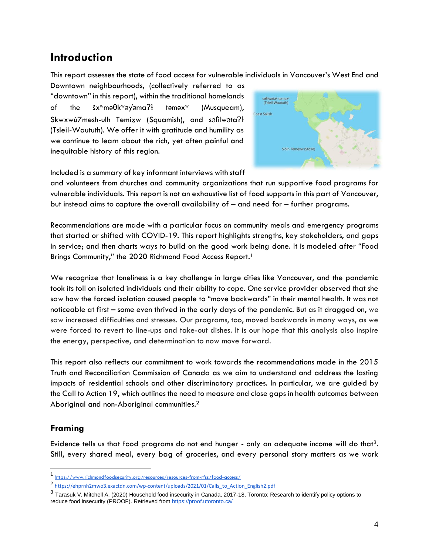## <span id="page-3-0"></span>**Introduction**

This report assesses the state of food access for vulnerable individuals in Vancouver's West End and

Downtown neighbourhoods, (collectively referred to as "downtown" in this report), within the traditional homelands of the šx<sup>w</sup>məθk<sup>w</sup>əy̓əma?ł təməx<sup>w</sup> (Musqueam), Skwxwú7mesh-ulh Temíxw (Squamish), and salilwata?ł (Tsleil-Waututh). We offer it with gratitude and humility as we continue to learn about the rich, yet often painful and inequitable history of this region.



Included is a summary of key informant interviews with staff

and volunteers from churches and community organizations that run supportive food programs for vulnerable individuals. This report is not an exhaustive list of food supports in this part of Vancouver, but instead aims to capture the overall availability of – and need for – further programs.

Recommendations are made with a particular focus on community meals and emergency programs that started or shifted with COVID-19. This report highlights strengths, key stakeholders, and gaps in service; and then charts ways to build on the good work being done. It is modeled after "Food Brings Community," the 2020 Richmond Food Access Report.<sup>1</sup>

We recognize that loneliness is a key challenge in large cities like Vancouver, and the pandemic took its toll on isolated individuals and their ability to cope. One service provider observed that she saw how the forced isolation caused people to "move backwards" in their mental health. It was not noticeable at first – some even thrived in the early days of the pandemic. But as it dragged on, we saw increased difficulties and stresses. Our programs, too, moved backwards in many ways, as we were forced to revert to line-ups and take-out dishes. It is our hope that this analysis also inspire the energy, perspective, and determination to now move forward.

This report also reflects our commitment to work towards the recommendations made in the 2015 Truth and Reconciliation Commission of Canada as we aim to understand and address the lasting impacts of residential schools and other discriminatory practices. In particular, we are guided by the Call to Action 19, which outlines the need to measure and close gaps in health outcomes between Aboriginal and non-Aboriginal communities.<sup>2</sup>

#### <span id="page-3-1"></span>**Framing**

Evidence tells us that food programs do not end hunger - only an adequate income will do that3. Still, every shared meal, every bag of groceries, and every personal story matters as we work

<sup>1</sup> <https://www.richmondfoodsecurity.org/resources/resources-from-rfss/food-access/>

<sup>2&</sup>lt;br>[https://ehprnh2mwo3.exactdn.com/wp-content/uploads/2021/01/Calls\\_to\\_Action\\_English2.pdf](https://ehprnh2mwo3.exactdn.com/wp-content/uploads/2021/01/Calls_to_Action_English2.pdf)

<sup>&</sup>lt;sup>3</sup> Tarasuk V, Mitchell A. (2020) Household food insecurity in Canada, 2017-18. Toronto: Research to identify policy options to reduce food insecurity (PROOF). Retrieved fro[m https://proof.utoronto.ca/](https://proof.utoronto.ca/)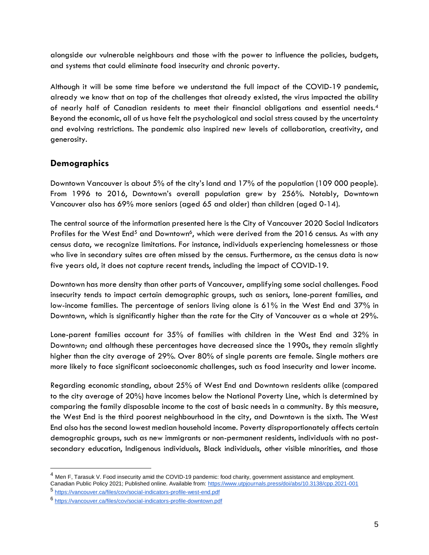alongside our vulnerable neighbours and those with the power to influence the policies, budgets, and systems that could eliminate food insecurity and chronic poverty.

Although it will be some time before we understand the full impact of the COVID-19 pandemic, already we know that on top of the challenges that already existed, the virus impacted the ability of nearly half of Canadian residents to meet their financial obligations and essential needs.<sup>4</sup> Beyond the economic, all of us have felt the psychological and social stresscaused by the uncertainty and evolving restrictions. The pandemic also inspired new levels of collaboration, creativity, and generosity.

#### <span id="page-4-0"></span>**Demographics**

Downtown Vancouver is about 5% of the city's land and 17% of the population (109 000 people). From 1996 to 2016, Downtown's overall population grew by 256%. Notably, Downtown Vancouver also has 69% more seniors (aged 65 and older) than children (aged 0-14).

The central source of the information presented here is the City of Vancouver 2020 Social Indicators Profiles for the West End<sup>5</sup> and Downtown<sup>6</sup>, which were derived from the 2016 census. As with any census data, we recognize limitations. For instance, individuals experiencing homelessness or those who live in secondary suites are often missed by the census. Furthermore, as the census data is now five years old, it does not capture recent trends, including the impact of COVID-19.

Downtown has more density than other parts of Vancouver, amplifying some social challenges. Food insecurity tends to impact certain demographic groups, such as seniors, lone-parent families, and low-income families. The percentage of seniors living alone is 61% in the West End and 37% in Downtown, which is significantly higher than the rate for the City of Vancouver as a whole at 29%.

Lone-parent families account for 35% of families with children in the West End and 32% in Downtown; and although these percentages have decreased since the 1990s, they remain slightly higher than the city average of 29%. Over 80% of single parents are female. Single mothers are more likely to face significant socioeconomic challenges, such as food insecurity and lower income.

Regarding economic standing, about 25% of West End and Downtown residents alike (compared to the city average of 20%) have incomes below the National Poverty Line, which is determined by comparing the family disposable income to the cost of basic needs in a community. By this measure, the West End is the third poorest neighbourhood in the city, and Downtown is the sixth. The West End also has the second lowest median household income. Poverty disproportionately affects certain demographic groups, such as new immigrants or non-permanent residents, individuals with no postsecondary education, Indigenous individuals, Black individuals, other visible minorities, and those

<sup>&</sup>lt;sup>4</sup> Men F, Tarasuk V. Food insecurity amid the COVID-19 pandemic: food charity, government assistance and employment. Canadian Public Policy 2021; Published online. Available from[: https://www.utpjournals.press/doi/abs/10.3138/cpp.2021-001](https://www.utpjournals.press/doi/abs/10.3138/cpp.2021-001)

<sup>5</sup> <https://vancouver.ca/files/cov/social-indicators-profile-west-end.pdf>

<sup>6</sup> <https://vancouver.ca/files/cov/social-indicators-profile-downtown.pdf>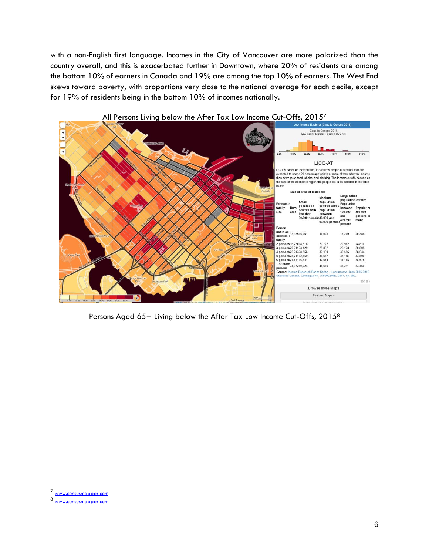with a non-English first language. Incomes in the City of Vancouver are more polarized than the country overall, and this is exacerbated further in Downtown, where 20% of residents are among the bottom 10% of earners in Canada and 19% are among the top 10% of earners. The West End skews toward poverty, with proportions very close to the national average for each decile, except for 19% of residents being in the bottom 10% of incomes nationally.





Persons Aged 65+ Living below the After Tax Low Income Cut-Offs, 2015<sup>8</sup>

<sup>7</sup> [www.censusmapper.com](http://www.censusmapper.com/) 

<sup>8</sup> w.censusmapper.com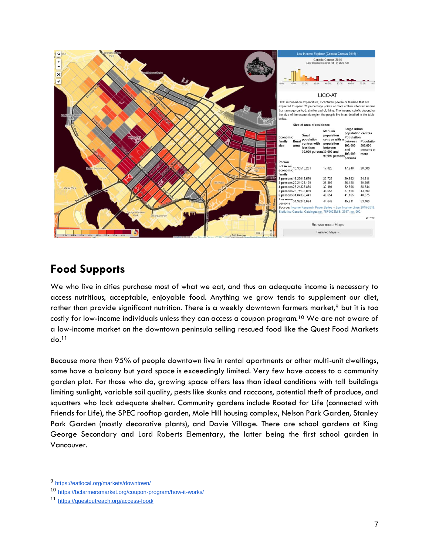

## <span id="page-6-0"></span>**Food Supports**

We who live in cities purchase most of what we eat, and thus an adequate income is necessary to access nutritious, acceptable, enjoyable food. Anything we grow tends to supplement our diet, rather than provide significant nutrition. There is a weekly downtown farmers market,<sup>9</sup> but it is too costly for low-income individuals unless they can access a coupon program.<sup>10</sup> We are not aware of a low-income market on the downtown peninsula selling rescued food like the Quest Food Markets do.<sup>11</sup>

Because more than 95% of people downtown live in rental apartments or other multi-unit dwellings, some have a balcony but yard space is exceedingly limited. Very few have access to a community garden plot. For those who do, growing space offers less than ideal conditions with tall buildings limiting sunlight, variable soil quality, pests like skunks and raccoons, potential theft of produce, and squatters who lack adequate shelter. Community gardens include Rooted for Life (connected with Friends for Life), the SPEC rooftop garden, Mole Hill housing complex, Nelson Park Garden, Stanley Park Garden (mostly decorative plants), and Davie Village. There are school gardens at King George Secondary and Lord Roberts Elementary, the latter being the first school garden in Vancouver.

<sup>9</sup> <https://eatlocal.org/markets/downtown/>

<sup>10</sup> <https://bcfarmersmarket.org/coupon-program/how-it-works/>

<sup>11</sup> <https://questoutreach.org/access-food/>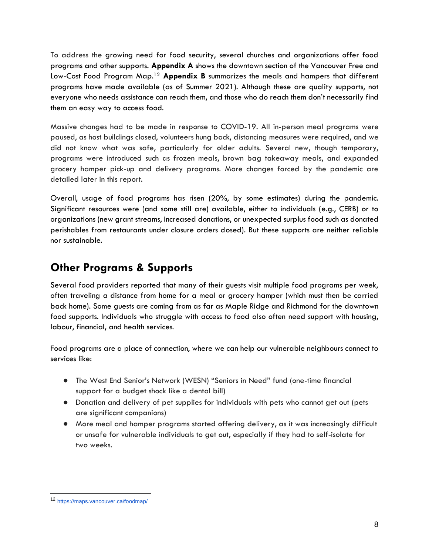To address the growing need for food security, several churches and organizations offer food programs and other supports. **Appendix A** shows the downtown section of the Vancouver Free and Low-Cost Food Program Map. <sup>12</sup> **Appendix B** summarizes the meals and hampers that different programs have made available (as of Summer 2021). Although these are quality supports, not everyone who needs assistance can reach them, and those who do reach them don't necessarily find them an easy way to access food.

Massive changes had to be made in response to COVID-19. All in-person meal programs were paused, as host buildings closed, volunteers hung back, distancing measures were required, and we did not know what was safe, particularly for older adults. Several new, though temporary, programs were introduced such as frozen meals, brown bag takeaway meals, and expanded grocery hamper pick-up and delivery programs. More changes forced by the pandemic are detailed later in this report.

Overall, usage of food programs has risen (20%, by some estimates) during the pandemic. Significant resources were (and some still are) available, either to individuals (e.g., CERB) or to organizations (new grant streams, increased donations, or unexpected surplus food such as donated perishables from restaurants under closure orders closed). But these supports are neither reliable nor sustainable.

## <span id="page-7-0"></span>**Other Programs & Supports**

Several food providers reported that many of their guests visit multiple food programs per week, often traveling a distance from home for a meal or grocery hamper (which must then be carried back home). Some guests are coming from as far as Maple Ridge and Richmond for the downtown food supports. Individuals who struggle with access to food also often need support with housing, labour, financial, and health services.

Food programs are a place of connection, where we can help our vulnerable neighbours connect to services like:

- The West End Senior's Network (WESN) "Seniors in Need" fund (one-time financial support for a budget shock like a dental bill)
- Donation and delivery of pet supplies for individuals with pets who cannot get out (pets are significant companions)
- More meal and hamper programs started offering delivery, as it was increasingly difficult or unsafe for vulnerable individuals to get out, especially if they had to self-isolate for two weeks.

<sup>12</sup> <https://maps.vancouver.ca/foodmap/>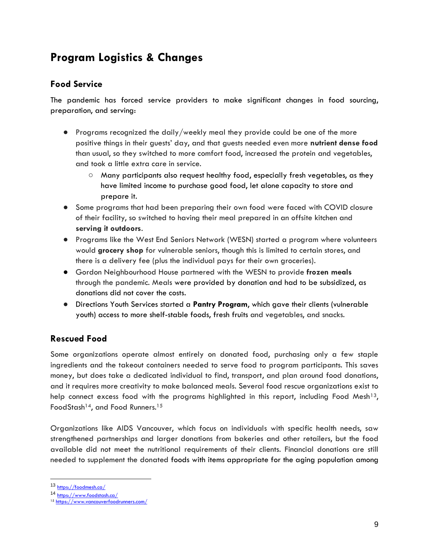## <span id="page-8-0"></span>**Program Logistics & Changes**

#### <span id="page-8-1"></span>**Food Service**

The pandemic has forced service providers to make significant changes in food sourcing, preparation, and serving:

- Programs recognized the daily/weekly meal they provide could be one of the more positive things in their guests' day, and that guests needed even more **nutrient dense food** than usual, so they switched to more comfort food, increased the protein and vegetables, and took a little extra care in service.
	- Many participants also request healthy food, especially fresh vegetables, as they have limited income to purchase good food, let alone capacity to store and prepare it.
- Some programs that had been preparing their own food were faced with COVID closure of their facility, so switched to having their meal prepared in an offsite kitchen and **serving it outdoors**.
- Programs like the West End Seniors Network (WESN) started a program where volunteers would **grocery shop** for vulnerable seniors, though this is limited to certain stores, and there is a delivery fee (plus the individual pays for their own groceries).
- Gordon Neighbourhood House partnered with the WESN to provide **frozen meals** through the pandemic. Meals were provided by donation and had to be subsidized, as donations did not cover the costs.
- Directions Youth Services started a **Pantry Program**, which gave their clients (vulnerable youth) access to more shelf-stable foods, fresh fruits and vegetables, and snacks.

#### <span id="page-8-2"></span>**Rescued Food**

Some organizations operate almost entirely on donated food, purchasing only a few staple ingredients and the takeout containers needed to serve food to program participants. This saves money, but does take a dedicated individual to find, transport, and plan around food donations, and it requires more creativity to make balanced meals. Several food rescue organizations exist to help connect excess food with the programs highlighted in this report, including Food Mesh<sup>13</sup>, FoodStash14, and Food Runners. 15

Organizations like AIDS Vancouver, which focus on individuals with specific health needs, saw strengthened partnerships and larger donations from bakeries and other retailers, but the food available did not meet the nutritional requirements of their clients. Financial donations are still needed to supplement the donated foods with items appropriate for the aging population among

<sup>13</sup> <https://foodmesh.ca/>

<sup>14</sup> <https://www.foodstash.ca/>

<sup>15</sup> <https://www.vancouverfoodrunners.com/>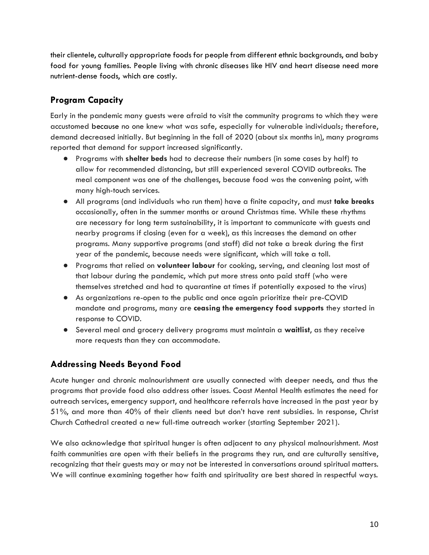their clientele, culturally appropriate foods for people from different ethnic backgrounds, and baby food for young families. People living with chronic diseases like HIV and heart disease need more nutrient-dense foods, which are costly.

#### <span id="page-9-0"></span>**Program Capacity**

Early in the pandemic many guests were afraid to visit the community programs to which they were accustomed because no one knew what was safe, especially for vulnerable individuals; therefore, demand decreased initially. But beginning in the fall of 2020 (about six months in), many programs reported that demand for support increased significantly.

- Programs with **shelter beds** had to decrease their numbers (in some cases by half) to allow for recommended distancing, but still experienced several COVID outbreaks. The meal component was one of the challenges, because food was the convening point, with many high-touch services.
- All programs (and individuals who run them) have a finite capacity, and must **take breaks** occasionally, often in the summer months or around Christmas time. While these rhythms are necessary for long term sustainability, it is important to communicate with guests and nearby programs if closing (even for a week), as this increases the demand on other programs. Many supportive programs (and staff) did not take a break during the first year of the pandemic, because needs were significant, which will take a toll.
- Programs that relied on **volunteer labour** for cooking, serving, and cleaning lost most of that labour during the pandemic, which put more stress onto paid staff (who were themselves stretched and had to quarantine at times if potentially exposed to the virus)
- As organizations re-open to the public and once again prioritize their pre-COVID mandate and programs, many are **ceasing the emergency food supports** they started in response to COVID.
- Several meal and grocery delivery programs must maintain a **waitlist**, as they receive more requests than they can accommodate.

#### <span id="page-9-1"></span>**Addressing Needs Beyond Food**

Acute hunger and chronic malnourishment are usually connected with deeper needs, and thus the programs that provide food also address other issues. Coast Mental Health estimates the need for outreach services, emergency support, and healthcare referrals have increased in the past year by 51%, and more than 40% of their clients need but don't have rent subsidies. In response, Christ Church Cathedral created a new full-time outreach worker (starting September 2021).

We also acknowledge that spiritual hunger is often adjacent to any physical malnourishment. Most faith communities are open with their beliefs in the programs they run, and are culturally sensitive, recognizing that their guests may or may not be interested in conversations around spiritual matters. We will continue examining together how faith and spirituality are best shared in respectful ways.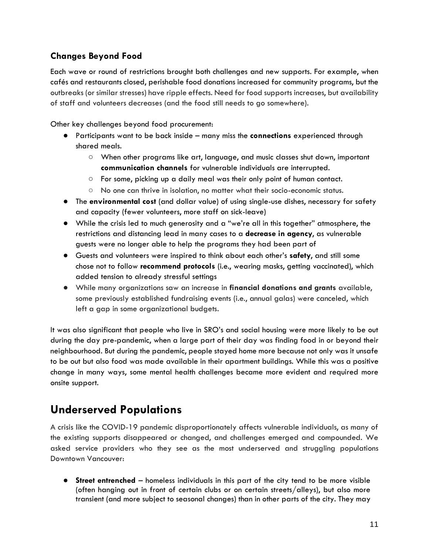#### <span id="page-10-0"></span>**Changes Beyond Food**

Each wave or round of restrictions brought both challenges and new supports. For example, when cafés and restaurants closed, perishable food donations increased for community programs, but the outbreaks (or similar stresses) have ripple effects. Need for food supports increases, but availability of staff and volunteers decreases (and the food still needs to go somewhere).

Other key challenges beyond food procurement:

- Participants want to be back inside many miss the **connections** experienced through shared meals.
	- When other programs like art, language, and music classes shut down, important **communication channels** for vulnerable individuals are interrupted.
	- For some, picking up a daily meal was their only point of human contact.
	- No one can thrive in isolation, no matter what their socio-economic status.
- The **environmental cost** (and dollar value) of using single-use dishes, necessary for safety and capacity (fewer volunteers, more staff on sick-leave)
- While the crisis led to much generosity and a "we're all in this together" atmosphere, the restrictions and distancing lead in many cases to a **decrease in agency**, as vulnerable guests were no longer able to help the programs they had been part of
- Guests and volunteers were inspired to think about each other's **safety**, and still some chose not to follow **recommend protocols** (i.e., wearing masks, getting vaccinated), which added tension to already stressful settings
- While many organizations saw an increase in **financial donations and grants** available, some previously established fundraising events (i.e., annual galas) were canceled, which left a gap in some organizational budgets.

It was also significant that people who live in SRO's and social housing were more likely to be out during the day pre-pandemic, when a large part of their day was finding food in or beyond their neighbourhood. But during the pandemic, people stayed home more because not only was it unsafe to be out but also food was made available in their apartment buildings. While this was a positive change in many ways, some mental health challenges became more evident and required more onsite support.

## <span id="page-10-1"></span>**Underserved Populations**

A crisis like the COVID-19 pandemic disproportionately affects vulnerable individuals, as many of the existing supports disappeared or changed, and challenges emerged and compounded. We asked service providers who they see as the most underserved and struggling populations Downtown Vancouver:

● **Street entrenched** – homeless individuals in this part of the city tend to be more visible (often hanging out in front of certain clubs or on certain streets/alleys), but also more transient (and more subject to seasonal changes) than in other parts of the city. They may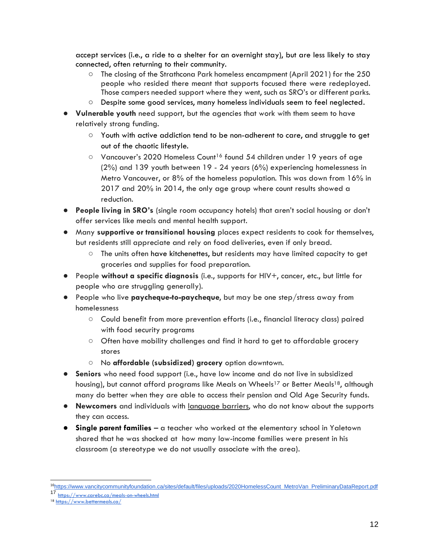accept services (i.e., a ride to a shelter for an overnight stay), but are less likely to stay connected, often returning to their community.

- The closing of the Strathcona Park homeless encampment (April 2021) for the 250 people who resided there meant that supports focused there were redeployed. Those campers needed support where they went, such as SRO's or different parks.
- Despite some good services, many homeless individuals seem to feel neglected.
- **Vulnerable youth** need support, but the agencies that work with them seem to have relatively strong funding.
	- Youth with active addiction tend to be non-adherent to care, and struggle to get out of the chaotic lifestyle.
	- Vancouver's 2020 Homeless Count<sup>16</sup> found 54 children under 19 years of age (2%) and 139 youth between 19 - 24 years (6%) experiencing homelessness in Metro Vancouver, or 8% of the homeless population. This was down from 16% in 2017 and 20% in 2014, the only age group where count results showed a reduction.
- **People living in SRO's** (single room occupancy hotels) that aren't social housing or don't offer services like meals and mental health support.
- Many **supportive or transitional housing** places expect residents to cook for themselves, but residents still appreciate and rely on food deliveries, even if only bread.
	- The units often have kitchenettes, but residents may have limited capacity to get groceries and supplies for food preparation.
- People **without a specific diagnosis** (i.e., supports for HIV+, cancer, etc., but little for people who are struggling generally).
- People who live **paycheque-to-paycheque**, but may be one step/stress away from homelessness
	- Could benefit from more prevention efforts (i.e., financial literacy class) paired with food security programs
	- Often have mobility challenges and find it hard to get to affordable grocery stores
	- No **affordable (subsidized) grocery** option downtown.
- **Seniors** who need food support (i.e., have low income and do not live in subsidized housing), but cannot afford programs like Meals on Wheels<sup>17</sup> or Better Meals<sup>18</sup>, although many do better when they are able to access their pension and Old Age Security funds.
- **Newcomers** and individuals with language barriers, who do not know about the supports they can access.
- **Single parent families** a teacher who worked at the elementary school in Yaletown shared that he was shocked at how many low-income families were present in his classroom (a stereotype we do not usually associate with the area).

<sup>16</sup>[https://www.vancitycommunityfoundation.ca/sites/default/files/uploads/2020HomelessCount\\_MetroVan\\_PreliminaryDataReport.pdf](https://www.vancitycommunityfoundation.ca/sites/default/files/uploads/2020HomelessCount_MetroVan_PreliminaryDataReport.pdf)

<sup>17</sup> <https://www.carebc.ca/meals-on-wheels.html>

<sup>18</sup> <https://www.bettermeals.ca/>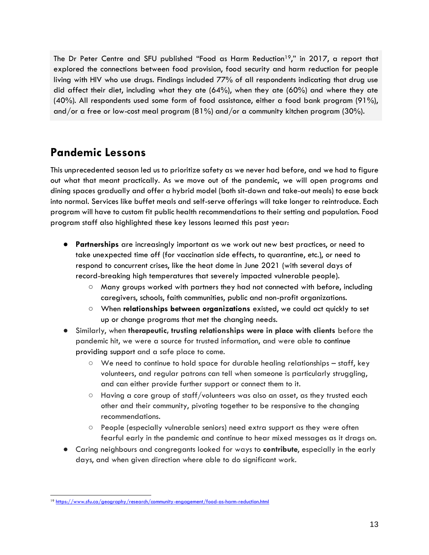The Dr Peter Centre and SFU published "Food as Harm Reduction<sup>19</sup>," in 2017, a report that explored the connections between food provision, food security and harm reduction for people living with HIV who use drugs. Findings included 77% of all respondents indicating that drug use did affect their diet, including what they ate (64%), when they ate (60%) and where they ate (40%). All respondents used some form of food assistance, either a food bank program (91%), and/or a free or low-cost meal program (81%) and/or a community kitchen program (30%).

## <span id="page-12-0"></span>**Pandemic Lessons**

This unprecedented season led us to prioritize safety as we never had before, and we had to figure out what that meant practically. As we move out of the pandemic, we will open programs and dining spaces gradually and offer a hybrid model (both sit-down and take-out meals) to ease back into normal. Services like buffet meals and self-serve offerings will take longer to reintroduce. Each program will have to custom fit public health recommendations to their setting and population. Food program staff also highlighted these key lessons learned this past year:

- **Partnerships** are increasingly important as we work out new best practices, or need to take unexpected time off (for vaccination side effects, to quarantine, etc.), or need to respond to concurrent crises, like the heat dome in June 2021 (with several days of record-breaking high temperatures that severely impacted vulnerable people).
	- Many groups worked with partners they had not connected with before, including caregivers, schools, faith communities, public and non-profit organizations.
	- When **relationships between organizations** existed, we could act quickly to set up or change programs that met the changing needs.
- Similarly, when **therapeutic, trusting relationships were in place with clients** before the pandemic hit, we were a source for trusted information, and were able to continue providing support and a safe place to come.
	- We need to continue to hold space for durable healing relationships staff, key volunteers, and regular patrons can tell when someone is particularly struggling, and can either provide further support or connect them to it.
	- Having a core group of staff/volunteers was also an asset, as they trusted each other and their community, pivoting together to be responsive to the changing recommendations.
	- People (especially vulnerable seniors) need extra support as they were often fearful early in the pandemic and continue to hear mixed messages as it drags on.
- Caring neighbours and congregants looked for ways to **contribute**, especially in the early days, and when given direction where able to do significant work.

<sup>19</sup> <https://www.sfu.ca/geography/research/community-engagement/food-as-harm-reduction.html>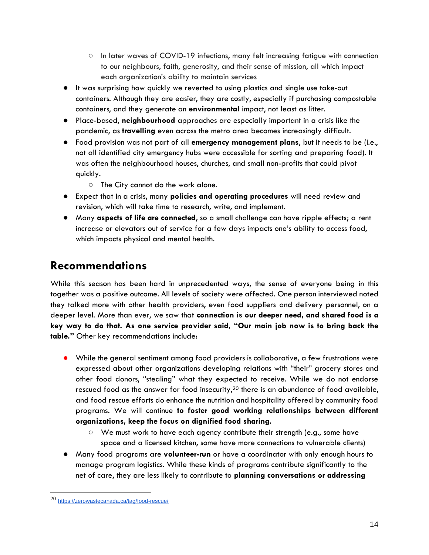- In later waves of COVID-19 infections, many felt increasing fatigue with connection to our neighbours, faith, generosity, and their sense of mission, all which impact each organization's ability to maintain services
- It was surprising how quickly we reverted to using plastics and single use take-out containers. Although they are easier, they are costly, especially if purchasing compostable containers, and they generate an **environmental** impact, not least as litter.
- Place-based, **neighbourhood** approaches are especially important in a crisis like the pandemic, as **travelling** even across the metro area becomes increasingly difficult.
- Food provision was not part of all **emergency management plans**, but it needs to be (i.e., not all identified city emergency hubs were accessible for sorting and preparing food). It was often the neighbourhood houses, churches, and small non-profits that could pivot quickly.
	- The City cannot do the work alone.
- Expect that in a crisis, many **policies and operating procedures** will need review and revision, which will take time to research, write, and implement.
- Many **aspects of life are connected**, so a small challenge can have ripple effects; a rent increase or elevators out of service for a few days impacts one's ability to access food, which impacts physical and mental health.

## <span id="page-13-0"></span>**Recommendations**

While this season has been hard in unprecedented ways, the sense of everyone being in this together was a positive outcome. All levels of society were affected. One person interviewed noted they talked more with other health providers, even food suppliers and delivery personnel, on a deeper level. More than ever, we saw that **connection is our deeper need, and shared food is a key way to do that. As one service provider said, "Our main job now is to bring back the table."** Other key recommendations include:

- While the general sentiment among food providers is collaborative, a few frustrations were expressed about other organizations developing relations with "their" grocery stores and other food donors, "stealing" what they expected to receive. While we do not endorse rescued food as the answer for food insecurity,  $20$  there is an abundance of food available, and food rescue efforts do enhance the nutrition and hospitality offered by community food programs. We will continue **to foster good working relationships between different organizations, keep the focus on dignified food sharing.** 
	- We must work to have each agency contribute their strength (e.g., some have space and a licensed kitchen, some have more connections to vulnerable clients)
- Many food programs are **volunteer-run** or have a coordinator with only enough hours to manage program logistics. While these kinds of programs contribute significantly to the net of care, they are less likely to contribute to **planning conversations or addressing**

<sup>20</sup> <https://zerowastecanada.ca/tag/food-rescue/>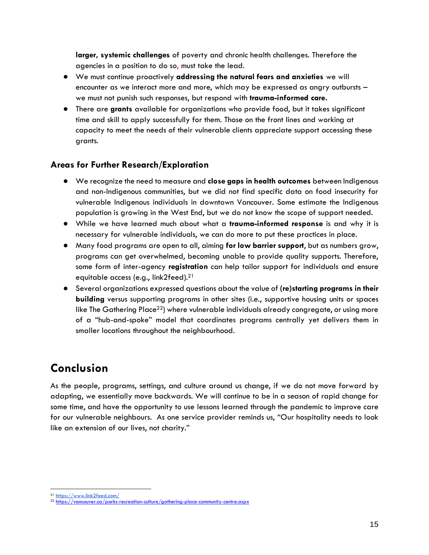**larger, systemic challenges** of poverty and chronic health challenges. Therefore the agencies in a position to do so, must take the lead.

- We must continue proactively **addressing the natural fears and anxieties** we will encounter as we interact more and more, which may be expressed as angry outbursts – we must not punish such responses, but respond with **trauma-informed care.**
- There are **grants** available for organizations who provide food, but it takes significant time and skill to apply successfully for them. Those on the front lines and working at capacity to meet the needs of their vulnerable clients appreciate support accessing these grants.

#### <span id="page-14-0"></span>**Areas for Further Research/Exploration**

- We recognize the need to measure and **close gaps in health outcomes** between Indigenous and non-Indigenous communities, but we did not find specific data on food insecurity for vulnerable Indigenous individuals in downtown Vancouver. Some estimate the Indigenous population is growing in the West End, but we do not know the scope of support needed.
- While we have learned much about what a **trauma-informed response** is and why it is necessary for vulnerable individuals, we can do more to put these practices in place.
- Many food programs are open to all, aiming **for low barrier support**, but as numbers grow, programs can get overwhelmed, becoming unable to provide quality supports. Therefore, some form of inter-agency **registration** can help tailor support for individuals and ensure equitable access (e.g., link2feed).<sup>21</sup>
- Several organizations expressed questions about the value of **(re)starting programs in their building** versus supporting programs in other sites (i.e., supportive housing units or spaces like The Gathering Place<sup>22</sup>) where vulnerable individuals already congregate, or using more of a "hub-and-spoke" model that coordinates programs centrally yet delivers them in smaller locations throughout the neighbourhood.

## <span id="page-14-1"></span>**Conclusion**

As the people, programs, settings, and culture around us change, if we do not move forward by adapting, we essentially move backwards. We will continue to be in a season of rapid change for some time, and have the opportunity to use lessons learned through the pandemic to improve care for our vulnerable neighbours. As one service provider reminds us, "Our hospitality needs to look like an extension of our lives, not charity."

<sup>21</sup> <https://www.link2feed.com/>

<sup>&</sup>lt;sup>22</sup> <https://vancouver.ca/parks-recreation-culture/gathering-place-community-centre.aspx>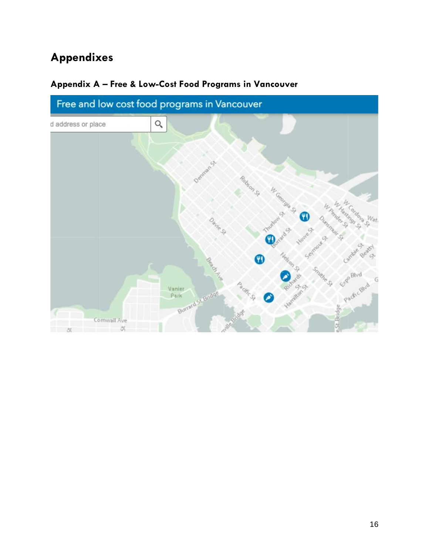# <span id="page-15-0"></span>**Appendixes**

<span id="page-15-1"></span>

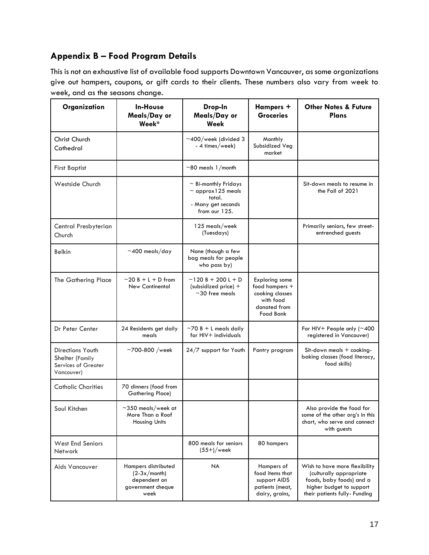## <span id="page-16-0"></span>**Appendix B – Food Program Details**

This is not an exhaustive list of available food supports Downtown Vancouver, as some organizations give out hampers, coupons, or gift cards to their clients. These numbers also vary from week to week, and as the seasons change.

| Organization                                                                    | <b>In-House</b><br>Meals/Day or<br>Week*                                           | Drop-In<br>Meals/Day or<br>Week                                                                          | Hampers +<br><b>Groceries</b>                                                                        | <b>Other Notes &amp; Future</b><br>Plans                                                                                                          |
|---------------------------------------------------------------------------------|------------------------------------------------------------------------------------|----------------------------------------------------------------------------------------------------------|------------------------------------------------------------------------------------------------------|---------------------------------------------------------------------------------------------------------------------------------------------------|
| Christ Church<br>Cathedral                                                      |                                                                                    | $\sim$ 400/week (divided 3<br>- 4 times/week)                                                            | Monthly<br>Subsidized Veg<br>market                                                                  |                                                                                                                                                   |
| <b>First Baptist</b>                                                            |                                                                                    | $\sim$ 80 meals 1/month                                                                                  |                                                                                                      |                                                                                                                                                   |
| <b>Westside Church</b>                                                          |                                                                                    | $\sim$ Bi-monthly Fridays<br>$\sim$ approx 125 meals<br>total.<br>- Many get seconds<br>from our $125$ . |                                                                                                      | Sit-down meals to resume in<br>the Fall of 2021                                                                                                   |
| Central Presbyterian<br>Church                                                  |                                                                                    | 125 meals/week<br>(Tuesdays)                                                                             |                                                                                                      | Primarily seniors, few street-<br>entrenched guests                                                                                               |
| <b>Belkin</b>                                                                   | $\sim$ 400 meals/day                                                               | None (though a few<br>bag meals for people<br>who pass by)                                               |                                                                                                      |                                                                                                                                                   |
| The Gathering Place                                                             | $\sim$ 20 B + L + D from<br><b>New Continental</b>                                 | $-120 B + 200 L + D$<br>(subsidized price) +<br>$\sim$ 30 free meals                                     | <b>Exploring</b> some<br>food hampers +<br>cooking classes<br>with food<br>donated from<br>Food Bank |                                                                                                                                                   |
| Dr Peter Center                                                                 | 24 Residents get daily<br>meals                                                    | $\sim$ 70 B + L meals daily<br>for HIV+ individuals                                                      |                                                                                                      | For HIV+ People only $($ $\sim$ 400<br>registered in Vancouver)                                                                                   |
| Directions Youth<br>Shelter (Family<br><b>Services of Greater</b><br>Vancouver) | $~1$ 700-800 /week                                                                 | 24/7 support for Youth                                                                                   | Pantry program                                                                                       | Sit-down meals + cooking-<br>baking classes (food literacy,<br>food skills)                                                                       |
| <b>Catholic Charities</b>                                                       | 70 dinners (food from<br>Gathering Place)                                          |                                                                                                          |                                                                                                      |                                                                                                                                                   |
| Soul Kitchen                                                                    | $\sim$ 350 meals/week at<br>More Than a Roof<br>Housing Units                      |                                                                                                          |                                                                                                      | Also provide the food for<br>some of the other org's in this<br>chart, who serve and connect<br>with guests                                       |
| <b>West End Seniors</b><br>Network                                              |                                                                                    | 800 meals for seniors<br>$(55+)$ /week                                                                   | 80 hampers                                                                                           |                                                                                                                                                   |
| Aids Vancouver                                                                  | Hampers distributed<br>$(2-3x/month)$<br>dependent on<br>government cheque<br>week | <b>NA</b>                                                                                                | Hampers of<br>food items that<br>support AIDS<br>patients (meat,<br>dairy, grains,                   | Wish to have more flexibility<br>(culturally appropriate<br>foods, baby foods) and a<br>higher budget to support<br>their patients fully- Funding |